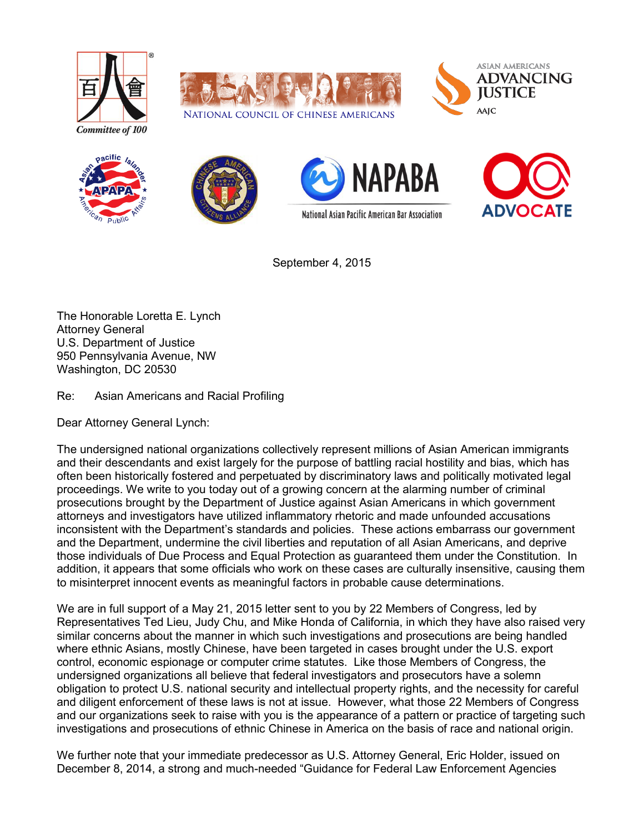













September 4, 2015

The Honorable Loretta E. Lynch Attorney General U.S. Department of Justice 950 Pennsylvania Avenue, NW Washington, DC 20530

Re: Asian Americans and Racial Profiling

Dear Attorney General Lynch:

The undersigned national organizations collectively represent millions of Asian American immigrants and their descendants and exist largely for the purpose of battling racial hostility and bias, which has often been historically fostered and perpetuated by discriminatory laws and politically motivated legal proceedings. We write to you today out of a growing concern at the alarming number of criminal prosecutions brought by the Department of Justice against Asian Americans in which government attorneys and investigators have utilized inflammatory rhetoric and made unfounded accusations inconsistent with the Department's standards and policies. These actions embarrass our government and the Department, undermine the civil liberties and reputation of all Asian Americans, and deprive those individuals of Due Process and Equal Protection as guaranteed them under the Constitution. In addition, it appears that some officials who work on these cases are culturally insensitive, causing them to misinterpret innocent events as meaningful factors in probable cause determinations.

We are in full support of a May 21, 2015 letter sent to you by 22 Members of Congress, led by Representatives Ted Lieu, Judy Chu, and Mike Honda of California, in which they have also raised very similar concerns about the manner in which such investigations and prosecutions are being handled where ethnic Asians, mostly Chinese, have been targeted in cases brought under the U.S. export control, economic espionage or computer crime statutes. Like those Members of Congress, the undersigned organizations all believe that federal investigators and prosecutors have a solemn obligation to protect U.S. national security and intellectual property rights, and the necessity for careful and diligent enforcement of these laws is not at issue. However, what those 22 Members of Congress and our organizations seek to raise with you is the appearance of a pattern or practice of targeting such investigations and prosecutions of ethnic Chinese in America on the basis of race and national origin.

We further note that your immediate predecessor as U.S. Attorney General, Eric Holder, issued on December 8, 2014, a strong and much-needed "Guidance for Federal Law Enforcement Agencies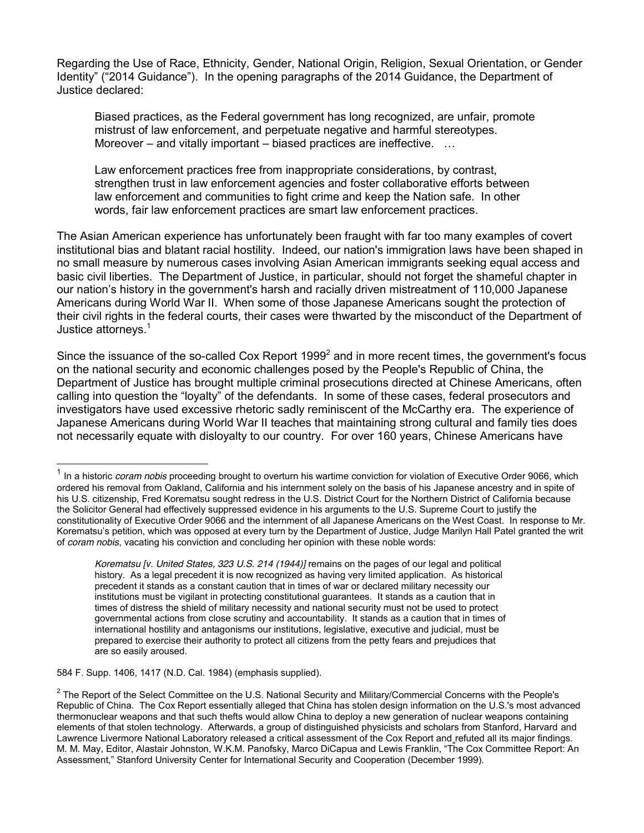Regarding the Use of Race, Ethnicity, Gender, National Origin, Religion, Sexual Orientation, or Gender Identity" ("2014 Guidance"). In the opening paragraphs of the 2014 Guidance, the Department of Justice declared:

Biased practices, as the Federal government has long recognized, are unfair, promote mistrust of law enforcement, and perpetuate negative and harmful stereotypes. Moreover – and vitally important – biased practices are ineffective. ...

Law enforcement practices free from inappropriate considerations, by contrast, strengthen trust in law enforcement agencies and foster collaborative efforts between law enforcement and communities to fight crime and keep the Nation safe. In other words, fair law enforcement practices are smart law enforcement practices.

The Asian American experience has unfortunately been fraught with far too many examples of covert institutional bias and blatant racial hostility. Indeed, our nation's immigration laws have been shaped in no small measure by numerous cases involving Asian American immigrants seeking equal access and basic civil liberties. The Department of Justice, in particular, should not forget the shameful chapter in our nation's history in the government's harsh and racially driven mistreatment of 110,000 Japanese Americans during World War II. When some of those Japanese Americans sought the protection of their civil rights in the federal courts, their cases were thwarted by the misconduct of the Department of Justice attorneys.<sup>1</sup>

Since the issuance of the so-called Cox Report  $1999<sup>2</sup>$  and in more recent times, the government's focus on the national security and economic challenges posed by the People's Republic of China, the Department of Justice has brought multiple criminal prosecutions directed at Chinese Americans, often calling into question the "loyalty" of the defendants. In some of these cases, federal prosecutors and investigators have used excessive rhetoric sadly reminiscent of the McCarthy era. The experience of Japanese Americans during World War II teaches that maintaining strong cultural and family ties does not necessarily equate with disloyalty to our country. For over 160 years, Chinese Americans have

584 F. Supp. 1406, 1417 (N.D. Cal. 1984) (emphasis supplied).

<sup>&</sup>lt;sup>1</sup> In a historic *coram nobis* proceeding brought to overturn his wartime conviction for violation of Executive Order 9066, which ordered his removal from Oakland, California and his internment solely on the basis of his Japanese ancestry and in spite of his U.S. citizenship, Fred Korematsu sought redress in the U.S. District Court for the Northern District of California because the Solicitor General had effectively suppressed evidence in his arguments to the U.S. Supreme Court to justify the constitutionality of Executive Order 9066 and the internment of all Japanese Americans on the West Coast. In response to Mr. Korematsu's petition, which was opposed at every turn by the Department of Justice, Judge Marilyn Hall Patel granted the writ of *coram nobis*, vacating his conviction and concluding her opinion with these noble words:

*Korematsu [v. United States, 323 U.S. 214 (1944)]* remains on the pages of our legal and political history. As a legal precedent it is now recognized as having very limited application. As historical precedent it stands as a constant caution that in times of war or declared military necessity our institutions must be vigilant in protecting constitutional guarantees. It stands as a caution that in times of distress the shield of military necessity and national security must not be used to protect governmental actions from close scrutiny and accountability. It stands as a caution that in times of international hostility and antagonisms our institutions, legislative, executive and judicial, must be prepared to exercise their authority to protect all citizens from the petty fears and prejudices that are so easily aroused.

 $2$  The Report of the Select Committee on the U.S. National Security and Military/Commercial Concerns with the People's Republic of China. The Cox Report essentially alleged that China has stolen design information on the U.S.'s most advanced thermonuclear weapons and that such thefts would allow China to deploy a new generation of nuclear weapons containing elements of that stolen technology. Afterwards, a group of distinguished physicists and scholars from Stanford, Harvard and Lawrence Livermore National Laboratory released a critical assessment of the Cox Report and refuted all its major findings. M. M. May, Editor, Alastair Johnston, W.K.M. Panofsky, Marco DiCapua and Lewis Franklin, "The Cox Committee Report: An Assessment," Stanford University Center for International Security and Cooperation (December 1999).